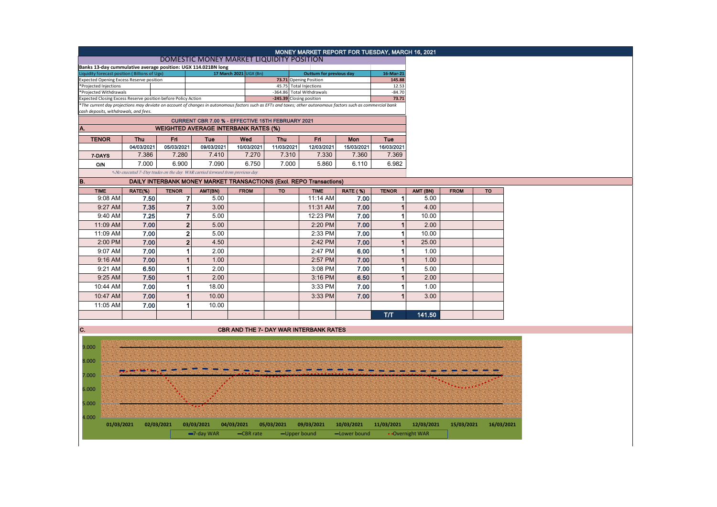|                                                                                                 |                                                                     |                         |                                                                               |                        |            | MONEY MARKET REPORT FOR TUESDAY, MARCH 16, 2021                                                                                                                                           |                 |                     |                 |             |            |
|-------------------------------------------------------------------------------------------------|---------------------------------------------------------------------|-------------------------|-------------------------------------------------------------------------------|------------------------|------------|-------------------------------------------------------------------------------------------------------------------------------------------------------------------------------------------|-----------------|---------------------|-----------------|-------------|------------|
|                                                                                                 |                                                                     |                         | DOMESTIC MONEY MARKET LIQUIDITY POSITION                                      |                        |            |                                                                                                                                                                                           |                 |                     |                 |             |            |
| Banks 13-day cummulative average position: UGX 114.021BN long                                   |                                                                     |                         |                                                                               |                        |            |                                                                                                                                                                                           |                 |                     |                 |             |            |
| iquidity forecast position (Billions of Ugx)<br><b>Expected Opening Excess Reserve position</b> |                                                                     |                         |                                                                               | 17 March 2021 UGX (Bn) |            | <b>Outturn for previous day</b><br>73.71 Opening Position                                                                                                                                 |                 | 16-Mar-21<br>145.88 |                 |             |            |
| *Projected Injections                                                                           |                                                                     |                         |                                                                               |                        |            | 45.75 Total Injections                                                                                                                                                                    |                 | 12.53               |                 |             |            |
| *Projected Withdrawals                                                                          |                                                                     |                         |                                                                               |                        |            | -364.86 Total Withdrawals                                                                                                                                                                 |                 | $-84.70$            |                 |             |            |
| Expected Closing Excess Reserve position before Policy Action                                   |                                                                     |                         |                                                                               |                        |            | -245.39 Closing position<br>*The current day projections may deviate on account of changes in autonomous factors such as EFTs and taxes; other autonomous factors such as commercial bank |                 | 73.71               |                 |             |            |
| cash deposits, withdrawals, and fees.                                                           |                                                                     |                         |                                                                               |                        |            |                                                                                                                                                                                           |                 |                     |                 |             |            |
|                                                                                                 | CURRENT CBR 7.00 % - EFFECTIVE 15TH FEBRUARY 2021                   |                         |                                                                               |                        |            |                                                                                                                                                                                           |                 |                     |                 |             |            |
| A.                                                                                              |                                                                     |                         | <b>WEIGHTED AVERAGE INTERBANK RATES (%)</b>                                   |                        |            |                                                                                                                                                                                           |                 |                     |                 |             |            |
| <b>TENOR</b>                                                                                    | <b>Thu</b>                                                          | Fri                     | Tue                                                                           | Wed                    | <b>Thu</b> | Fri                                                                                                                                                                                       | Mon             | Tue                 |                 |             |            |
|                                                                                                 | 04/03/2021                                                          | 05/03/2021              | 09/03/2021                                                                    | 10/03/2021             | 11/03/2021 | 12/03/2021                                                                                                                                                                                | 15/03/2021      | 16/03/2021          |                 |             |            |
| 7-DAYS                                                                                          | 7.386                                                               | 7.280                   | 7.410                                                                         | 7.270                  | 7.310      | 7.330                                                                                                                                                                                     | 7.360           | 7.369               |                 |             |            |
| <b>O/N</b>                                                                                      | 7.000                                                               | 6.900                   | 7.090                                                                         | 6.750                  | 7.000      | 5.860                                                                                                                                                                                     | 6.110           | 6.982               |                 |             |            |
|                                                                                                 |                                                                     |                         | *-No executed 7-Day trades on the day. WAR carried forward from previous day. |                        |            |                                                                                                                                                                                           |                 |                     |                 |             |            |
| B.                                                                                              | DAILY INTERBANK MONEY MARKET TRANSACTIONS (Excl. REPO Transactions) |                         |                                                                               |                        |            |                                                                                                                                                                                           |                 |                     |                 |             |            |
| <b>TIME</b>                                                                                     | RATE(%)                                                             | <b>TENOR</b>            | AMT(BN)                                                                       | <b>FROM</b>            | <b>TO</b>  | <b>TIME</b>                                                                                                                                                                               | <b>RATE (%)</b> | <b>TENOR</b>        | AMT (BN)        | <b>FROM</b> | <b>TO</b>  |
| 9:08 AM                                                                                         | 7.50                                                                | $\overline{\mathbf{r}}$ | 5.00                                                                          |                        |            | 11:14 AM                                                                                                                                                                                  | 7.00            | $\mathbf{1}$        | 5.00            |             |            |
| 9:27 AM                                                                                         | 7.35                                                                |                         | $\overline{7}$<br>3.00                                                        |                        |            | 11:31 AM                                                                                                                                                                                  | 7.00            | $\mathbf{1}$        | 4.00            |             |            |
| 9:40 AM                                                                                         | 7.25                                                                |                         | $\overline{\mathbf{r}}$<br>5.00                                               |                        |            | 12:23 PM                                                                                                                                                                                  | 7.00            | $\mathbf{1}$        | 10.00           |             |            |
| 11:09 AM                                                                                        | 7.00                                                                |                         | $\mathbf{2}$<br>5.00                                                          |                        |            | 2:20 PM                                                                                                                                                                                   | 7.00            | 1                   | 2.00            |             |            |
| 11:09 AM                                                                                        | 7.00                                                                |                         | $\mathbf 2$<br>5.00                                                           |                        |            | 2:33 PM                                                                                                                                                                                   | 7.00            | 1                   | 10.00           |             |            |
| 2:00 PM                                                                                         | 7.00                                                                |                         | $\overline{2}$<br>4.50                                                        |                        |            | 2:42 PM                                                                                                                                                                                   | 7.00            | $\mathbf{1}$        | 25.00           |             |            |
| 9:07 AM                                                                                         | 7.00                                                                |                         | 1<br>2.00                                                                     |                        |            | 2:47 PM                                                                                                                                                                                   | 6.00            | 1                   | 1.00            |             |            |
| 9:16 AM                                                                                         | 7.00                                                                |                         | $\mathbf{1}$<br>1.00                                                          |                        |            | 2:57 PM                                                                                                                                                                                   | 7.00            | $\mathbf{1}$        | 1.00            |             |            |
| 9:21 AM                                                                                         | 6.50                                                                | 1                       | 2.00                                                                          |                        |            | 3:08 PM                                                                                                                                                                                   | 7.00            | 1                   | 5.00            |             |            |
| 9:25 AM                                                                                         | 7.50                                                                |                         | $\mathbf{1}$<br>2.00                                                          |                        |            | 3:16 PM                                                                                                                                                                                   | 6.50            | $\mathbf{1}$        | 2.00            |             |            |
| 10:44 AM                                                                                        | 7.00                                                                |                         | $\mathbf{1}$<br>18.00                                                         |                        |            | 3:33 PM                                                                                                                                                                                   | 7.00            | $\mathbf{1}$        | 1.00            |             |            |
| 10:47 AM                                                                                        | 7.00                                                                |                         | $\mathbf{1}$<br>10.00                                                         |                        |            | 3:33 PM                                                                                                                                                                                   | 7.00            | $\overline{1}$      | 3.00            |             |            |
| 11:05 AM                                                                                        | 7.00                                                                |                         | $\mathbf{1}$<br>10.00                                                         |                        |            |                                                                                                                                                                                           |                 |                     |                 |             |            |
|                                                                                                 |                                                                     |                         |                                                                               |                        |            |                                                                                                                                                                                           |                 | <b>T/T</b>          | 141.50          |             |            |
|                                                                                                 |                                                                     |                         |                                                                               |                        |            |                                                                                                                                                                                           |                 |                     |                 |             |            |
| C.                                                                                              |                                                                     |                         |                                                                               |                        |            | <b>CBR AND THE 7- DAY WAR INTERBANK RATES</b>                                                                                                                                             |                 |                     |                 |             |            |
|                                                                                                 |                                                                     |                         |                                                                               |                        |            |                                                                                                                                                                                           |                 |                     |                 |             |            |
| 9.000                                                                                           |                                                                     |                         |                                                                               |                        |            |                                                                                                                                                                                           |                 |                     |                 |             |            |
|                                                                                                 |                                                                     |                         |                                                                               |                        |            |                                                                                                                                                                                           |                 |                     |                 |             |            |
| 8.000                                                                                           |                                                                     |                         |                                                                               |                        |            |                                                                                                                                                                                           |                 |                     |                 |             |            |
| 7.000                                                                                           |                                                                     |                         |                                                                               |                        |            |                                                                                                                                                                                           |                 |                     |                 |             |            |
|                                                                                                 |                                                                     |                         |                                                                               |                        |            |                                                                                                                                                                                           |                 |                     |                 |             |            |
| 6.000                                                                                           |                                                                     |                         |                                                                               |                        |            |                                                                                                                                                                                           |                 |                     |                 |             |            |
|                                                                                                 |                                                                     |                         |                                                                               |                        |            |                                                                                                                                                                                           |                 |                     |                 |             |            |
| 5.000                                                                                           |                                                                     |                         |                                                                               |                        |            |                                                                                                                                                                                           |                 |                     |                 |             |            |
| 4.000                                                                                           |                                                                     |                         |                                                                               |                        |            |                                                                                                                                                                                           |                 |                     |                 |             |            |
| 01/03/2021                                                                                      |                                                                     | 02/03/2021              | 03/03/2021                                                                    | 04/03/2021             | 05/03/2021 | 09/03/2021                                                                                                                                                                                | 10/03/2021      | 11/03/2021          | 12/03/2021      | 15/03/2021  | 16/03/2021 |
|                                                                                                 |                                                                     |                         | $-7$ -day WAR                                                                 | -CBR rate              |            | -Upper bound                                                                                                                                                                              | -Lower bound    |                     | • Overnight WAR |             |            |
|                                                                                                 |                                                                     |                         |                                                                               |                        |            |                                                                                                                                                                                           |                 |                     |                 |             |            |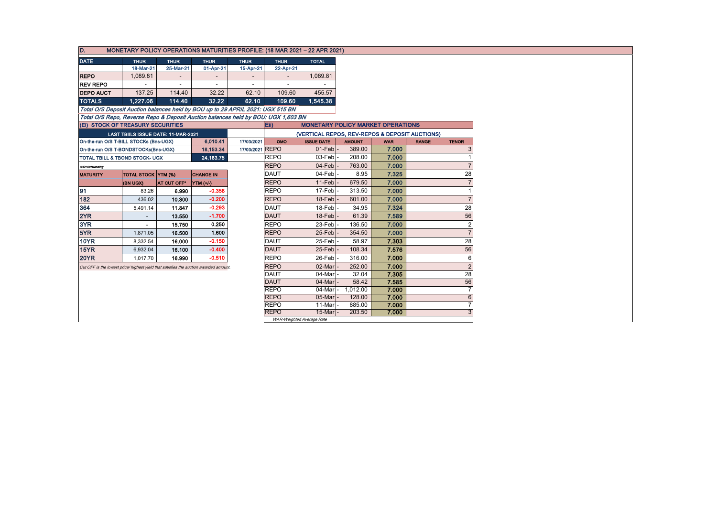| D.<br>MONETARY POLICY OPERATIONS MATURITIES PROFILE: (18 MAR 2021 - 22 APR 2021)      |                                     |             |                  |                          |             |                                                |                                          |            |              |                |
|---------------------------------------------------------------------------------------|-------------------------------------|-------------|------------------|--------------------------|-------------|------------------------------------------------|------------------------------------------|------------|--------------|----------------|
| <b>DATE</b>                                                                           | <b>THUR</b>                         | <b>THUR</b> | <b>THUR</b>      | <b>THUR</b>              | <b>THUR</b> | <b>TOTAL</b>                                   |                                          |            |              |                |
|                                                                                       | 18-Mar-21                           | 25-Mar-21   | 01-Apr-21        | 15-Apr-21                | 22-Apr-21   |                                                |                                          |            |              |                |
| <b>REPO</b>                                                                           | 1,089.81                            |             |                  |                          |             | 1,089.81                                       |                                          |            |              |                |
| <b>REV REPO</b>                                                                       |                                     |             |                  | $\overline{\phantom{0}}$ |             |                                                |                                          |            |              |                |
| <b>DEPO AUCT</b>                                                                      | 137.25                              | 114.40      | 32.22            | 62.10                    | 109.60      | 455.57                                         |                                          |            |              |                |
| <b>TOTALS</b>                                                                         | 1.227.06                            | 114.40      | 32.22            | 62.10                    | 109.60      | 1.545.38                                       |                                          |            |              |                |
| Total O/S Deposit Auction balances held by BOU up to 29 APRIL 2021: UGX 515 BN        |                                     |             |                  |                          |             |                                                |                                          |            |              |                |
| Total O/S Repo, Reverse Repo & Deposit Auction balances held by BOU: UGX 1,603 BN     |                                     |             |                  |                          |             |                                                |                                          |            |              |                |
| (Ei) STOCK OF TREASURY SECURITIES                                                     |                                     |             |                  |                          | Eii)        |                                                | <b>MONETARY POLICY MARKET OPERATIONS</b> |            |              |                |
|                                                                                       | LAST TBIILS ISSUE DATE: 11-MAR-2021 |             |                  |                          |             | (VERTICAL REPOS, REV-REPOS & DEPOSIT AUCTIONS) |                                          |            |              |                |
| On-the-run O/S T-BILL STOCKs (Bns-UGX)                                                |                                     |             | 6,010.41         | 17/03/2021               | OMO         | <b>ISSUE DATE</b>                              | <b>AMOUNT</b>                            | <b>WAR</b> | <b>RANGE</b> | <b>TENOR</b>   |
| On-the-run O/S T-BONDSTOCKs(Bns-UGX)                                                  |                                     |             | 18,153.34        | 17/03/2021 REPO          |             | $01-Feb$                                       | 389.00                                   | 7.000      |              |                |
| TOTAL TBILL & TBOND STOCK- UGX                                                        |                                     |             | 24, 163. 75      |                          | <b>REPO</b> | 03-Feb                                         | 208.00                                   | 7.000      |              |                |
| O/S=Outstanding                                                                       |                                     |             |                  |                          | <b>REPO</b> | $04$ -Feb                                      | 763.00                                   | 7.000      |              |                |
| <b>MATURITY</b>                                                                       | <b>TOTAL STOCK YTM (%)</b>          |             | <b>CHANGE IN</b> |                          | <b>DAUT</b> | 04-Feb                                         | 8.95                                     | 7.325      |              | 28             |
|                                                                                       | (BN UGX)                            | AT CUT OFF* | YTM (+/-)        |                          | <b>REPO</b> | 11-Feb                                         | 679.50                                   | 7.000      |              |                |
| 91                                                                                    | 83.26                               | 6.990       | $-0.358$         |                          | <b>REPO</b> | 17-Feb                                         | 313.50                                   | 7.000      |              |                |
| 182                                                                                   | 436.02                              | 10.300      | $-0.200$         |                          | <b>REPO</b> | $18$ -Feb                                      | 601.00                                   | 7.000      |              | $\overline{7}$ |
| 364                                                                                   | 5,491.14                            | 11.847      | $-0.293$         |                          | <b>DAUT</b> | 18-Feb                                         | 34.95                                    | 7.324      |              | 28             |
| 2YR                                                                                   | $\sim$                              | 13.550      | $-1.700$         |                          | <b>DAUT</b> | $18$ -Feb                                      | 61.39                                    | 7.589      |              | 56             |
| 3YR                                                                                   | $\sim$                              | 15.750      | 0.250            |                          | <b>REPO</b> | 23-Feb                                         | 136.50                                   | 7.000      |              | $\overline{2}$ |
| 5YR                                                                                   | 1,871.05                            | 16.500      | 1.600            |                          | <b>REPO</b> | 25-Feb                                         | 354.50                                   | 7.000      |              | $\overline{7}$ |
| <b>10YR</b>                                                                           | 8,332.54                            | 16.000      | $-0.150$         |                          | <b>DAUT</b> | 25-Feb                                         | 58.97                                    | 7.303      |              | 28             |
| 15YR                                                                                  | 6,932.04                            | 16.100      | $-0.400$         |                          | <b>DAUT</b> | 25-Feb                                         | 108.34                                   | 7.576      |              | 56             |
| <b>20YR</b>                                                                           | 1.017.70                            | 16.990      | $-0.510$         |                          | <b>REPO</b> | 26-Feb                                         | 316.00                                   | 7.000      |              | 6              |
| Cut OFF is the lowest price/ highest yield that satisfies the auction awarded amount. |                                     |             |                  |                          | <b>REPO</b> | 02-Marl                                        | 252.00                                   | 7.000      |              | $\overline{2}$ |
|                                                                                       |                                     |             |                  |                          | <b>DAUT</b> | 04-Mar                                         | 32.04                                    | 7.305      |              | 28             |
|                                                                                       |                                     |             |                  |                          | <b>DAUT</b> | 04-Mar                                         | 58.42                                    | 7.585      |              | 56             |
|                                                                                       |                                     |             |                  |                          | <b>REPO</b> | 04-Mar                                         | 1,012.00                                 | 7.000      |              | $\overline{7}$ |
|                                                                                       |                                     |             |                  |                          | <b>REPO</b> | 05-Mar                                         | 128.00                                   | 7.000      |              | 6              |
|                                                                                       |                                     |             |                  |                          | <b>REPO</b> | 11-Mar                                         | 885.00                                   | 7.000      |              | $\overline{7}$ |
|                                                                                       |                                     |             |                  |                          | <b>REPO</b> | 15-Mar                                         | 203.50                                   | 7.000      |              | 3              |
|                                                                                       |                                     |             |                  |                          |             | WAR-Weighted Average Rate                      |                                          |            |              |                |